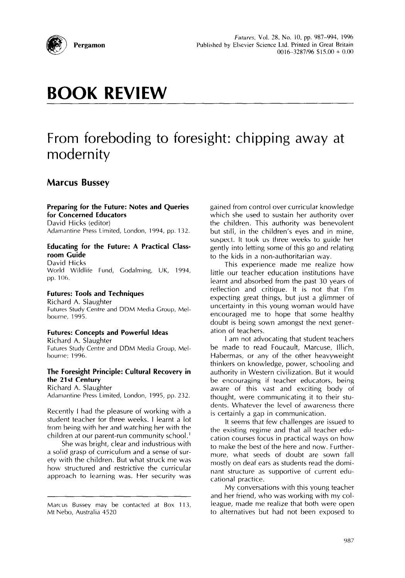

# **BOOK REWEW**

# From foreboding to foresight: chipping away at modernity

# **Marcus Bussey**

# **Preparing for the Future: Notes and Queries for Concerned Educators**

David Hicks (editor)

Adamantine Press Limited, London, 1994, pp. 132.

#### **Educating for the Future: A Practical Classroom Guide**

David Hicks World Wildlife Fund, Godalming, UK, 1994, pp. 106.

#### **Futures: Tools and Techniques**

Richard A. Slaughter Futures Study Centre and DDM Media Group, Melbourne. 1995.

#### **Futures: Concepts and Powerful Ideas**

Richard A. Slaughter Futures Study Centre and DDM Media Group, Melhourne; **1 Y9h.** 

#### **The Foresight Principle: Cultural Recovery in the 21st Century**

Richard A. Slaughter Adamantine Press Limited, London, **1995, pp.** 232.

Recently I had the pleasure of working with a student teacher for three weeks. I learnt a lot from being with her and watching her with the children at our parent-run community school.'

She was bright, clear and industrious with a solid grasp of curriculum and a sense of surety with the children. But what struck me was how structured and restrictive the curricular approach to learning was. Her security was

Marcus Bussey may be contacted at Box **113,**  Mt Nebo, Australia 4520

gained from control over curricular knowledge which she used to sustain her authority over the children. This authority was benevolent but still, in the children's eyes and in mine, suspect. It took us three weeks to guide her gently into letting some of this go and relating to the kids in a non-authoritarian way.

This experience made me realize how little our teacher education institutions have learnt and absorbed from the past 30 years of reflection and critique. It is not that I'm expecting great things, but just a glimmer of uncertainty in this young woman would have encouraged me to hope that some healthy doubt is being sown amongst the next generation of teachers.

I am not advocating that student teachers be made to read Foucault, Marcuse, Illich, Habermas, or any of the other heavyweight thinkers on knowledge, power, schooling and authority in Western civilization. But it would be encouraging if teacher educators, being aware of this vast and exciting body of thought, were communicating it to their students. Whatever the level of awareness there is certainly a gap in communication.

It seems that few challenges are issued to the existing regime and that all teacher education courses focus in practical ways on how to make the best of the here and now. Furthermore, what seeds of doubt are sown fall mostly on deaf ears as students read the dominant structure as supportive of current educational practice.

My conversations with this young teacher and her friend, who was working with my colleague, made me realize that both were open to alternatives but had not been exposed to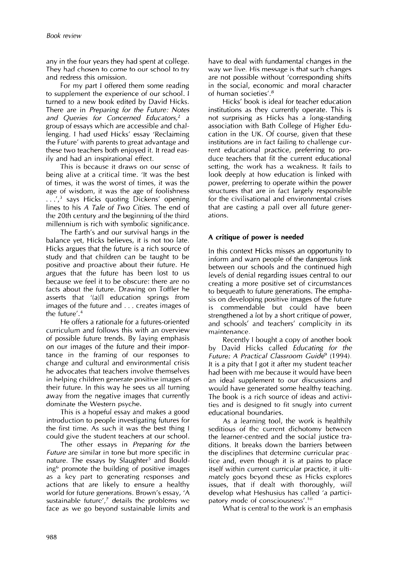any in the four years they had spent at college. They had chosen to come to our school to try and redress this omission.

For my part I offered them some reading to supplement the experience of our school. I turned to a new book edited by David Hicks. There are in *Preparing for the future: Notes and Queries for Concerned Educators,2* a group of essays which are accessible and challenging. I had used Hicks' essay 'Reclaiming the Future' with parents to great advantage and these two teachers both enjoyed it. It read easily and had an inspirational effect.

This is because it draws on our sense of being alive at a critical time. 'It was the best of times, it was the worst of times, it was the age of wisdom, it was the age of foolishness  $\ldots$ ,<sup>3</sup> says Hicks quoting Dickens' opening iines to his *A Tale of Two Cities.* The end of the 20th century and the beginning of the third millennium is rich with symbolic significance.

The Earth's and our survival hangs in the balance yet, Hicks believes, it is not too late. Hicks argues that the future is a rich source of study and that children can be taught to be positive and proactive about their future. He argues that the future has been lost to us because we feel it to be obscure: there are no facts about the future. Drawing on Toffler he asserts that '(a)ll education springs from images of the future and . , creates images of the future'.4

He offers a rationale for a futures-oriented curriculum and follows this with an overview of possible future trends. By laying emphasis on our images of the future and their importance in the framing of our responses to change and cultural and environmental crisis he advocates that teachers involve themselves in helping children generate positive images of their future. In this way he sees us all turning away from the negative images that currently dominate the Western psyche.

This is a hopeful essay and makes a good introduction to people investigating futures for the first time. As such it was the best thing **I could give the student teachers** at our school.

The other essays in *Preparing for the Future* are similar in tone but more specific in nature. The essays by Slaughter<sup>5</sup> and Boulding<sup>6</sup> promote the building of positive images as a key part to generating responses and actions that are likely to ensure a healthy world for future generations. Brown's essay, 'A sustainable future', $7$  details the problems we face as we go beyond sustainable limits and have to deal with fundamental changes in the way we live. His message is that such changes are not possible without 'corresponding shifts in the social, economic and moral character of human societies'.<sup>8</sup>

Hicks' book is ideal for teacher education institutions as they currently operate. This is not surprising as Hicks has a long-standing association with Bath College of Higher Education in the UK. Of course, given that these institutions are in fact failing to challenge current educational practice, preferring to produce teachers that fit the current educational setting, the work has a weakness. It fails to look deeply at how education is linked with power, preferring to operate within the power structures that are in fact largely responsible for the civilisational and environmental crises that are casting a pall over all future generations.

#### **A critique of power is needed**

In this context Hicks misses an opportunity to inform and warn people of the dangerous link between our schools and the continued high levels of denial regarding issues central to our creating a more positive set of circumstances to bequeath to future generations. The emphasis on developing positive images of the future is commendable but could have been strengthened a lot by a short critique of power, and schools' and teachers' complicity in its maintenance.

Recently I bought a copy of another book by David Hicks called *Educating for the Future: A Practical Classroom Guide'* (1994). It is a pity that I got it after my student teacher had been with me because it would have been an ideal supplement to our discussions and would have generated some healthy teaching. The book is a rich source of ideas and activities and is designed to fit snugly into current educational boundaries.

As a learning tool, the work is healthily seditious of the current dichotomy between the learner-centred and the social justice traditions. It breaks down the barriers between the disciplines that determine curricular practice and, even though it is at pains to place itself within current curricular practice, it ultimately goes beyond these as Hicks explores issues, that if dealt with thoroughly, will develop what Heshusius has called 'a participatory mode of consciousness'.<sup>10</sup>

What is central to the work is an emphasis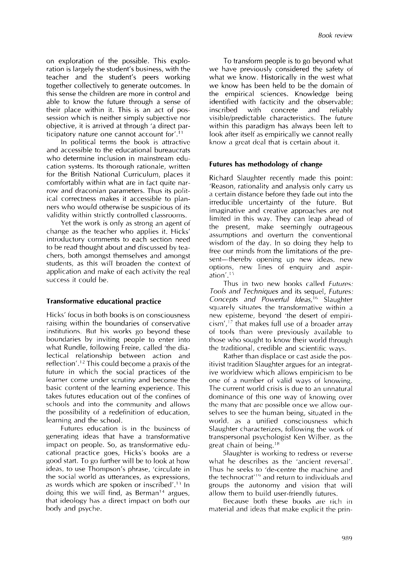on exploration of the possible. This exploration is largely the student's business, with the teacher and the student's peers working together collectively to generate outcomes. In this sense the children are more in control and able to know the future through a sense of their place within it. This is an act of possession which is neither simply subjective nor objective, it is arrived at through 'a direct participatory nature one cannot account for'."

In political terms the book is attractive and accessible to the educational bureaucrats who determine inclusion in mainstream education systems. Its thorough rationale, written for the British National Curriculum, places it comfortably within what are in fact quite narrow and draconian parameters. Thus its political correctness makes it accessible to planners who would otherwise be suspicious of its validity within strictly controlled classrooms.

Yet the work is only as strong an agent of change as the teacher who applies it. Hicks' introductory comments to each section need to be read thought about and discussed by teachers, both amongst themselves and amongst students, as this will broaden the context of application and make of each activity the real success it could be.

#### **Transformative educational practice**

Hicks' focus in both books is on consciousness raising within the boundaries of conservative institutions. But his works go beyond these boundaries by inviting people to enter into what Rundle, following Freire, called 'the dialectical relationship between action and reflection'." This could become a praxis of the future in which the social practices of the learner come under scrutiny and become the basic content of the learning experience. This takes futures education out of the confines of schools and into the community and allows the possibility of a redefinition of education, learning and the school.

Futures education is in the business of generating ideas that have a transformative impact on people. So, as transformative educational practice goes, Hicks's books are a good start. To go further will be to look at how ideas, to use Thompson's phrase, 'circulate in the social world as utterances, as expressions, as words which are spoken or inscribed'." In doing this we will find, as Berman<sup>14</sup> argues, that ideology has a direct impact on both our body and psyche.

To transform people is to go beyond what we have previously considered the safety of what we know. Historically in the west what we know has been held to be the domain of the empirical sciences. Knowledge being identified with facticity and the observable;<br>inscribed with concrete and reliably inscribed with concrete and reliably visible/predictable characteristics. The future within this paradigm has always been left to look after itself as empirically we cannot really know a great deal that is certain about it.

#### **Futures has methodology of change**

Richard Slaughter recently made this point: 'Reason, rationality and analysis only carry us a certain distance before they fade out into the irreducible uncertainty of the future. But imaginative and creative approaches are not limited in this way. They can leap ahead of the present, make seemingly outrageous assumptions and overturn the conventional wisdom of the day. In so doing they help to free our minds from the limitations of the present-thereby opening up new ideas, new options, new lines of enquiry and aspiration'."

Thus in two new books called Futures: Tools and Techniques and its sequel, *Futures:* Concepts and Powerful Ideas,<sup>16</sup> Slaughter squarely situates the transformative within a new episteme, beyond 'the desert of empiri $cism'$ ,<sup>12</sup> that makes full use of a broader array of tools than were previously available to those who sought to know their world through the traditional, credible and scientific ways.

Rather than displace or cast aside the positivist tradition Slaughter argues for an integrative worldview which allows empiricism to be one of a number of valid ways of knowing. The current world crisis is due to an unnatural dominance of this one way of knowing over the many that are possible once we allow ourselves to see the human being, situated in the world. as a unified consciousness which Slaughter characterizes, following the work of transpersonal psychologist Ken Wilber, as the great chain of being.<sup>18</sup>

Slaughter is working to redress or reverse what he describes as the 'ancient reversal'. Thus he seeks to 'de-centre the machine and the technocrat<sup>119</sup> and return to individuals and groups the autonomy and vision that will allow them to build user-friendly futures.

Because both these books are rich in material and ideas that make explicit the prin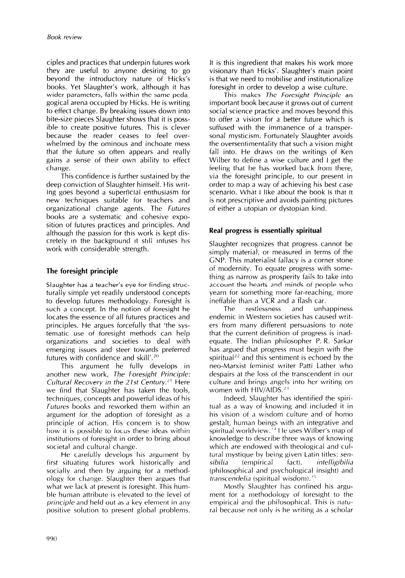ciples and practices that underpin futures work they are useful to anyone desiring to go beyond the introductory nature of Hicks's books. Yet Slaughter's work, although it has wider parameters, fails within the same pedagogical arena occupied by Hicks. He is writing to effect change. By breaking issues down into bite-size pieces Slaughter shows that it is possible to create positive futures. This is clever because the reader ceases to feel overwhelmed by the ominous and inchoate mess that the future so often appears and really gains a sense of their own ability to effect change.

This confidence is further sustained by the deep conviction of Slaughter himself. His writing goes beyond a superficial enthusiasm for new techniques suitable for teachers and organizational change agents. The *Futures*  books are a systematic and cohesive exposition of futures practices and principles. And although the passion for this work is kept discretely in the background it still infuses his work with considerable strength.

# **The foresight principle**

Slaughter has a teacher's eye for finding structurally simple yet readily understood concepts to develop futures methodology. Foresight is such a concept. in the notion of foresight he locates the essence of all futures practices and principles. He argues forcefully that 'the systematic use of foresight methods can help organizations and societies to deal with emerging issues and steer towards preferred futures with confidence and skill'. $^{20}$ 

This argument he fully develops in another new work, *The Foresight Principle: Cultural Recovery in the 21st Century.*<sup>21</sup> Here we find that Slaughter has taken the tools, techniques, concepts and powerful ideas of his *Futures* books and reworked them within an argument for the adoption of foresight as a principle of action. His concern is to show how it is possible to focus these ideas within institutions of foresight in order to bring about societal and cultural change.

He carefully develops his argument by first situating futures work historically and socially and then by arguing for a methodology for change. Slaughter then argues that what we lack at present is foresight. This humble human attribute is elevated to the level of *principle* and held out as a key element in any positive solution to present global problems. It is this ingredient that makes his work more visionary than Hicks'. Slaughter's main point is that we need to mobilise and institutionalize foresight in order to develop a wise culture.

This makes *The Foresight Principle* an important book because it grows out of current social science practice and moves beyond this to offer a vision for a better future which is suffused with the immanence of a transpersonal mysticism. Fortunately Slaughter avoids the oversentimentality that such a vision might fall into. He draws on the writings of Ken Wilber to define a wise culture and I get the feeling that he has worked back from there, via the foresight principle, to our present in order to map a way of achieving his best case scenario. What I like about the book is that it is not prescriptive and avoids painting pictures of either a utopian or dystopian kind.

## **Real progress is essentially spiritual**

Slaughter recognizes that progress cannot be simply material, or measured in terms of the GNP. This materialist fallacy is a corner stone of modernity. To equate progress with something as narrow as prosperity fails to take into account the hearts and minds of people who yearn for something more far-reaching, more ineffable than a VCR and a flash car.

The restlessness and unhappiness endemic in Western societies has caused writers from many different persuasions to note that the current definition of progress is inadequate. The Indian philosopher P. R. Sarkar has argued that progress must begin with the spiritual<sup>22</sup> and this sentiment is echoed by the neo-Marxist feminist writer Patti Lather who despairs at the loss of the transcendent in our culture and brings angels into her writing on women with HIV/AIDS.<sup>23</sup>

Indeed, Slaughter has identified the spiritual as a way of knowing and included it in his vision of a wisdom culture and of homo gestalt, human beings with an integrative and spiritual worldview.<sup>34</sup> He uses Wilber's map of knowledge to describe three ways of knowing which are endowed with theological and cultural mystique by being given Latin titles: sen*sibilia* (empirical fact), *intelligibilia*  (philosophical and psychological insight) and *transcendelia* (spiritual wisdom)."

Mostly Slaughter has confined his argument for a methodology of foresight to the empirical and the philosophical. This is natural because not only is he writing as a scholar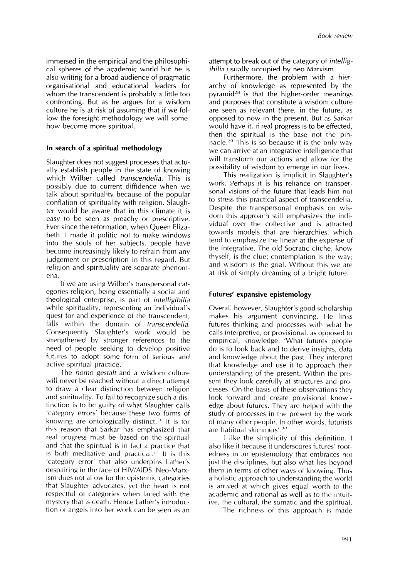immersed in the empirical and the philosophical spheres of the academic world but he is also writing for a broad audience of pragmatic organisational and educational leaders for whom the transcendent is probably a little too confronting. But as he argues for a wisdom culture he is at risk of assuming that if we follow the foresight methodology we will somehow become more spiritual.

#### **In search of a spiritual methodology**

Slaughter does not suggest processes that actually establish people in the state of knowing which Wilber called transcendelia. This is possibly due to current diffidence when we talk about spirituality because of the popular conflation of spirituality with religion. Slaughter would be aware that in this climate it is easy to be seen as preachy or prescriptive. Ever since the reformation, when Queen Elizabeth **1** made it politic not to make windows into the souls of her subjects, people have become increasingly likely to refrain from any judgement or prescription in this regard. But religion and spirituality are separate phenomena.

If we are using Wilber's transpersonal categories religion, being essentially a social and theological enterprise, is part of *intelligibilia* while spirituality, representing an individual's quest for and experience of the transcendent, falls within the domain of transcendelia. Consequently Slaughter's work would be strengthened by stronger references to the need of people seeking to develop positive futures to adopt some form of serious and active spiritual practice.

The *homo gestalt* and a wisdom culture will never be reached without a direct attempt to draw a clear distinction between religion and spirituality. To fail to recognize such a distinction is to be guilty of what Slaughter calls 'category errors' because these two forms of knowing are ontologically distinct.<sup>26</sup> It is for this reason that Sarkar has emphasized that real progress must be based on the spiritual and that the spiritual is in fact a practice that is both meditative and practical.<sup>27</sup> It is this 'category error' that also underpins Lather's despairing in the face of HIV/AIDS. Neo-Marxism does not allow for the epistemic categories that Slaughter advocates, yet the heart is not respectful of categories when faced with the mystery that is death. Hence Lather's introduction of angels into her work can he seen as an

attempt to break out of the category of intelligibilia usually occupied by neo-Marxism.

Furthermore, the problem with a hierarchy of knowledge as represented by the pyramid<sup>28</sup> is that the higher-order meanings and purposes that constitute a wisdom culture are seen as relevant there, in the future, as opposed to now in the present. But as Sarkar would have it, if real progress is to be effected, then the spiritual is the base not the pinnacle.<sup>29</sup> This is so because it is the only way we can arrive at an integrative intelligence that will transform our actions and allow for the possibility of wisdom to emerge in our lives.

This realization is implicit in Slaughter's work. Perhaps it is his reliance on transpersonal visions of the future that leads him not to stress this practical aspect of transcendelia. Despite the transpersonal emphasis on wisdom this approach still emphasizes the individual over the collective and is attracted towards models that are hierarchies, which tend to emphasize the linear at the expense of the integrative. The old Socratic cliche, know thyself, is the clue; contemplation is the way; and wisdom is the goal. Without this we are at risk of simply dreaming of a bright future.

#### **Futures' expansive epistemology**

Overall however, Slaughter's good scholarship makes his argument convincing. He links futures thinking and processes with what he calls interpretive, or provisional, as opposed to empirical, knowledge. 'What futures people do is to look back and to derive insights, data and knowledge about the past. They interpret that knowledge and use it to approach their understanding of the present. Within the present they look carefully at structures and processes. On the basis of these observations they look forward and create provisional knowledge about futures. They are helped with the study of processes in the present by the work of many other people. In other words, futurists are habitual skimmers'."'

I like the simplicity of this definition. I also like it because it underscores futures' rootedness in an epistemology that embraces not just the disciplines, but also what lies beyond them in terms ot other ways of knowing. Thus a holistic approach to understanding the world is arrived at which gives equal worth to the academic and rational as well as to the intuitive, the cultural, the somatic and the spiritual.

The richness of this approach is made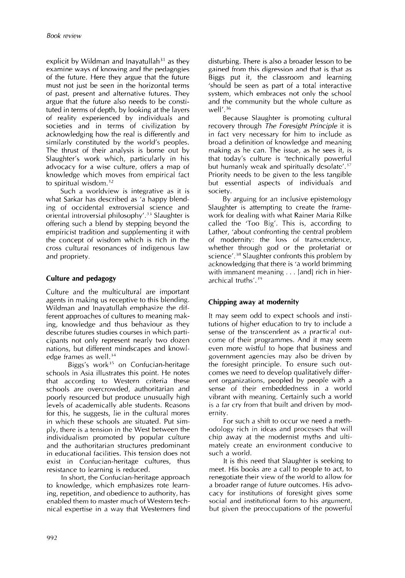explicit by Wildman and Inayatullah $31$  as they examine ways of knowing and the pedagogies of the future. Here they argue that the future must not just be seen in the horizontal terms of past, present and alternative futures. They argue that the future also needs to be constituted in terms of depth, by looking at the layers of reality experienced by individuals and societies and in terms of civilization by acknowledging how the real is differently and similarly constituted by the world's peoples. The thrust of their analysis is borne out by Slaughter's work which, particularly in his advocacy for a wise culture, offers a map of knowledge which moves from empirical fact to spiritual wisdom. $32$ 

Such a worldview is integrative as it is what Sarkar has described as 'a happy blending of occidental extroversial science and oriental introversial philosophy'.<sup>33</sup> Slaughter is offering such a blend by stepping beyond the empiricist tradition and supplementing it with the concept of wisdom which is rich in the cross cultural resonances of indigenous law and propriety.

# **Culture and pedagogy**

Culture and the multicultural are important agents in making us receptive to this blending. Wildman and lnayatullah emphasize the different approaches of cultures to meaning making, knowledge and thus behaviour as they describe futures studies courses in which participants not only represent nearly two dozen nations, but different mindscapes and knowledge frames as well. $34$ 

Biggs's work<sup>35</sup> on Confucian-heritage schools in Asia illustrates this point. He notes that according to Western criteria these schools are overcrowded, authoritarian and poorly resourced but produce unusually high levels of academically able students. Reasons for this, he suggests, lie in the cultural mores in which these schools are situated. Put simply, there is a tension in the West between the individualism promoted by popular culture and the authoritarian structures predominant in educational facilities. This tension does not exist in Confucian-heritage cultures, thus resistance to learning is reduced.

In short, the Confucian-heritage approach to knowledge, which emphasizes rote learning, repetition, and obedience to authority, has enabled them to master much of Western technical expertise in a way that Westerners find disturbing. There is also a broader lesson to be gained from this digression and that is that as Biggs put it, the classroom and learning 'should be seen as part of a total interactive system, which embraces not only the school and the community but the whole culture as well'. $36$ 

Because Slaughter is promoting cultural recovery through The Foresight *Principle* it is in fact very necessary for him to include as broad a definition of knowledge and meaning making as he can. The issue, as he sees it, is that today's culture is 'technically powerful but humanly weak and spiritually desolate'.<sup>37</sup> Priority needs to be given to the less tangible but essential aspects of individuals and society.

By arguing for an inclusive epistemology Slaughter is attempting to create the framework for dealing with what Rainer Maria Rilke called the 'Too Big'. This is, according to Lather, 'about confronting the central problem of modernity: the loss of transcendence, whether through god or the proletariat or science'.<sup>38</sup> Slaughter confronts this problem by acknowledging that there is 'a world brimming with immanent meaning  $\ldots$  [and] rich in hierarchical truths'.<sup>39</sup>

## **Chipping away at modernity**

It may seem odd to expect schools and institutions of higher education to try to include a sense of the transcendent as a practical outcome of their programmes. And it may seem even more wistful to hope that business and government agencies may also be driven by the foresight principle. To ensure such outcomes we need to develop qualitatively different organizations, peopled by people with a sense of their embeddedness in a world vibrant with meaning. Certainly such a world is a far cry from that built and driven by modernity.

For such a shift to occur we need a methodology rich in ideas and processes that will chip away at the modernist myths and ultimately create an environment conducive to such a world.

It is this need that Slaughter is seeking to meet. His books are a call to people to act, to renegotiate their view of the world to allow for a broader range of future outcomes. His advocacy for institutions of foresight gives some social and institutional form to his argument, but given the preoccupations of the powerful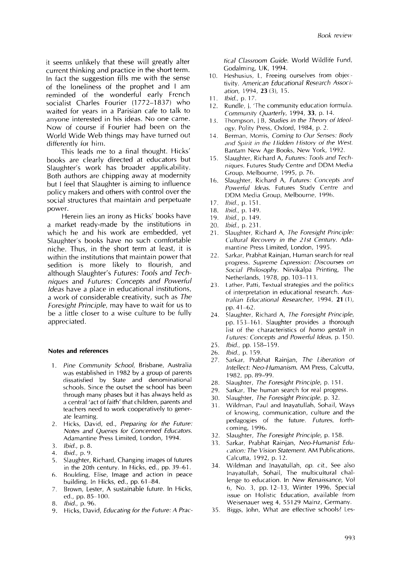it seems unlikely that these will greatly alter current thinking and practice in the short term. In fact the suggestion fills me with the sense of the loneliness of the prophet and I am reminded of the wonderful early French socialist Charles Fourier (1772-1837) who waited for years in a Parisian cafe to talk to anyone interested in his ideas. No one came. Now of course if Fourier had been on the World Wide Web things may have turned out differently for him.

This leads me to a final thought. Hicks' books are clearly directed at educators but Slaughter's work has broader applicability. Both authors are chipping away at modernity but I feel that Slaughter is aiming to influence policy makers and others with control over the social structures that maintain and perpetuate power.

Herein lies an irony as Hicks' books have a market ready-made by the institutions in which he and his work are embedded, yet Slaughter's books have no such comfortable niche. Thus, in the short term at least, it is within the institutions that maintain power that sedition is more likely to flourish, and although Slaughter's Futures: *Tools and Techniques* and *Futures: Concepts and Powerful ideas* have a place in educational institutions, a work of considerable creativity, such as *The Foresight Principle,* may have to wait for us to be a little closer to a wise culture to be fully appreciated.

#### **Notes and references**

- 1 Pine *Community School,* Brisbane, Australia was established in 1982 by a group of parents dissatisfied by State and denominational schools. Since the outset the school has been through many phases but it has always held as a central 'act of faith' that children, parents and teachers need to work cooperatively to generate learning.
- **2**  Hicks, David, ed., *Preparing for the future: Notes and Queries for Concerned Educators.*  Adamantine Press Limited, London, 1994.
- **3**  *Ibid.,* p. 8.
- **4**  *Ibid.,* p. Y.
- **5.**  Slaughter, Richard, Changing images of futures in the 20th century. In Hicks, ed., pp. 39-61.
- **6.**  Boulding, Elise, Image and action in peace building. In Hicks, ed., pp. 61-84.
- **7.**  Brown, Lester, A sustainable future. In Hicks, ed., pp. **85-100.**
- **8.**  *Ibid.,* p. 96.
- **9.**  Hicks, David, *Educating for the Future: A Prac-*

*tical Classroom Guide.* World Wildlife Fund, Godalming, UK, 1994.

- 10. Heshusius, L, Freeing ourselves from objectivity. *American Educational Research Assotiation, 1904, 23 (31,* 15.
- 11. */bid.,* p. 17.
- 12. Rundle, J, 'The community education formula. *Community Quarterly,* 1994, 33, p. 14.
- 13. Thompson, J B, *Studies in the Theory of Idealogy.* Polity Press, Oxford, 1984, p. 2.
- 14. Berman, Morris, *Coming to Our Senses: Body and Spirit in the Hidden History of the West*  Bantam New Age Books, New York, 1992.
- 15. Slaughter, Richard A, *futures: Tools and Techniques.* Futures Study Centre and DDM Media Group. Melbourne, 1995, p. 76.
- 16. Slaughter, Richard A, *Futures: Concepts and Powerful Ideas.* Futures Study Centre and DDM Media Group, Melbourne, **19Yh.**
- 17. *Ibid., I,.* **151.**
- 18. *Ibid.,* p. 149.
- 19.  *Ibid.,* p. 149.
- 20. *Ibid., p. 231.*
- 21. Slaughter, Richard A, *The Foresight Principle: Cultural Recovery in the Zlst Century.* Adamantine Press Limited, London, 1995.
- 22. Sarkar, Prabhat Rainjan, Human search for real progress. *Supreme Expression: Discourses on Socia/ Philosophy.* Nirvikalpa Printing, The Netherlands, 1978, pp. 103-113.
- 23. Lather, Patti, Textual strategies and the politics of interpretation in educational research. *Australian Educational Researcher*, 1994, 21(1), pp. 4 I-62.
- 24. Slaughter, Richard A, The *foresight* Principle, pp. **153-l 61.** Slaughter provides a thorough list of the characteristics of *homo gestalt* in *f~utures: Concepts and Powerful Ideas.* p. 150.
- 25. Ibid., pp. **158-159.**
- 26. *Ibid.,* p. 159. <sub>.</sub>
- 27. Sarkar, Prabhat Rainjan, *The Liberation ot Intellect: Neo-Humanism.* AM Press, Calcutta, 1982. pp. 89-99.
- 28 Slaughter, *The Foresight Principle,* p. **151.**
- 29 Sarkar, The human search for real progress.
- 30 Slaughter, *The Foresight Principle,* p. 32.
- 31 \&'ildman, Paul and Inayatullah, Sohail, Ways of knowing, communication, culture and the pedagogies of the future. Futures. forthcoming, 1996.
- $32.$ Slaughter, *The Foresight Principle,* p. 158.
- 33 Sarkar, Prabhat Rainjan, *Neo-Humanist Education: The Vision Statement.* AM Publications, Calcutta, 1992, p. 12.
- 34. Wildman and Inayatullah, *op. cit., See* also Inayatullah, Sohail, The multicultural challenge to education. In New *Renaissance,* Vol 6, No. 3, pp. 12-13, Winter 1996, Special issue on Holistic Education, available from Weisenauer weg 4, 55129 Mainz, Germany.
- 35. Biggs, John, What are effective schools? Les-